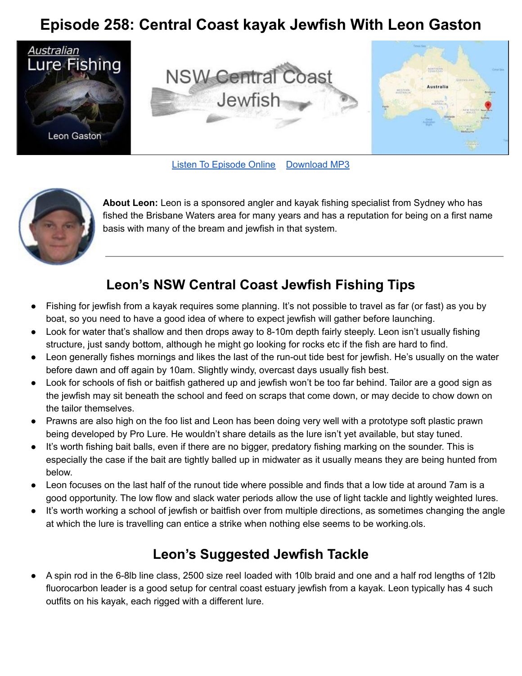## **Episode 258: Central Coast kayak Jewfish With Leon Gaston**



Listen To [Episode](https://doclures.com/nsw-central-coast-jewfish-leon-gaston/) Online Download MP3



**About Leon:** Leon is a sponsored angler and kayak fishing specialist from Sydney who has fished the Brisbane Waters area for many years and has a reputation for being on a first name basis with many of the bream and jewfish in that system.

## **Leon's NSW Central Coast Jewfish Fishing Tips**

- Fishing for jewfish from a kayak requires some planning. It's not possible to travel as far (or fast) as you by boat, so you need to have a good idea of where to expect jewfish will gather before launching.
- Look for water that's shallow and then drops away to 8-10m depth fairly steeply. Leon isn't usually fishing structure, just sandy bottom, although he might go looking for rocks etc if the fish are hard to find.
- Leon generally fishes mornings and likes the last of the run-out tide best for jewfish. He's usually on the water before dawn and off again by 10am. Slightly windy, overcast days usually fish best.
- Look for schools of fish or baitfish gathered up and jewfish won't be too far behind. Tailor are a good sign as the jewfish may sit beneath the school and feed on scraps that come down, or may decide to chow down on the tailor themselves.
- Prawns are also high on the foo list and Leon has been doing very well with a prototype soft plastic prawn being developed by Pro Lure. He wouldn't share details as the lure isn't yet available, but stay tuned.
- It's worth fishing bait balls, even if there are no bigger, predatory fishing marking on the sounder. This is especially the case if the bait are tightly balled up in midwater as it usually means they are being hunted from below.
- Leon focuses on the last half of the runout tide where possible and finds that a low tide at around 7am is a good opportunity. The low flow and slack water periods allow the use of light tackle and lightly weighted lures.
- It's worth working a school of jewfish or baitfish over from multiple directions, as sometimes changing the angle at which the lure is travelling can entice a strike when nothing else seems to be working.ols.

## **Leon's Suggested Jewfish Tackle**

A spin rod in the 6-8lb line class, 2500 size reel loaded with 10lb braid and one and a half rod lengths of 12lb fluorocarbon leader is a good setup for central coast estuary jewfish from a kayak. Leon typically has 4 such outfits on his kayak, each rigged with a different lure.